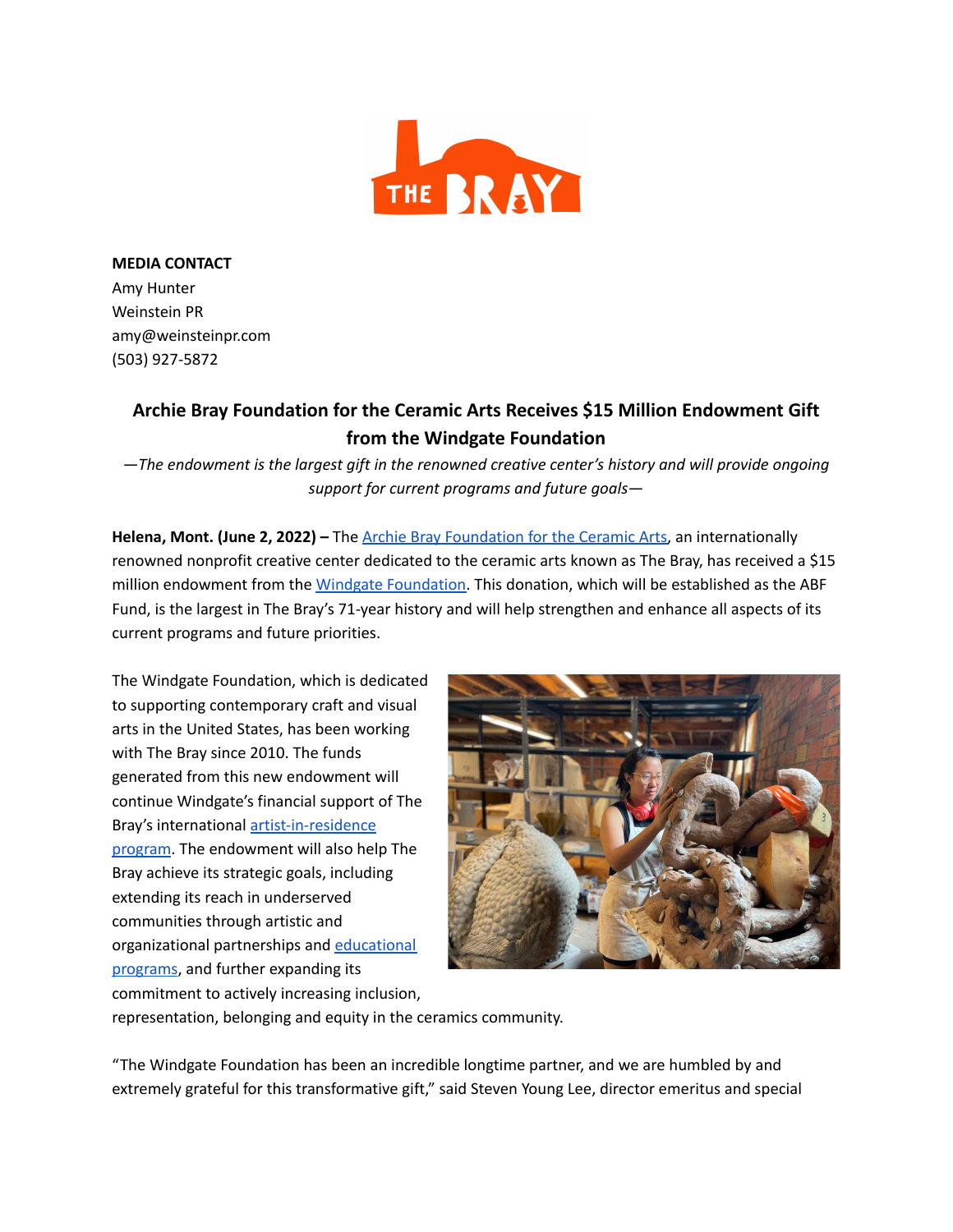

**MEDIA CONTACT** Amy Hunter Weinstein PR amy@weinsteinpr.com (503) 927-5872

## **Archie Bray Foundation for the Ceramic Arts Receives \$15 Million Endowment Gift from the Windgate Foundation**

*—The endowment is the largest gift in the renowned creative center's history and will provide ongoing support for current programs and future goals—*

**Helena, Mont. (June 2, 2022) –** The Archie Bray Foundation for the Ceramic Arts, an internationally renowned nonprofit creative center dedicated to the ceramic arts known as The Bray, has received a \$15 million endowment from the Windgate Foundation. This donation, which will be established as the ABF Fund, is the largest in The Bray's 71-year history and will help strengthen and enhance all aspects of its current programs and future priorities.

The Windgate Foundation, which is dedicated to supporting contemporary craft and visual arts in the United States, has been working with The Bray since 2010. The funds generated from this new endowment will continue Windgate's financial support of The Bray's international artist-in-residence program. The endowment will also help The Bray achieve its strategic goals, including extending its reach in underserved communities through artistic and organizational partnerships and educational programs, and further expanding its commitment to actively increasing inclusion,



representation, belonging and equity in the ceramics community.

"The Windgate Foundation has been an incredible longtime partner, and we are humbled by and extremely grateful for this transformative gift," said Steven Young Lee, director emeritus and special